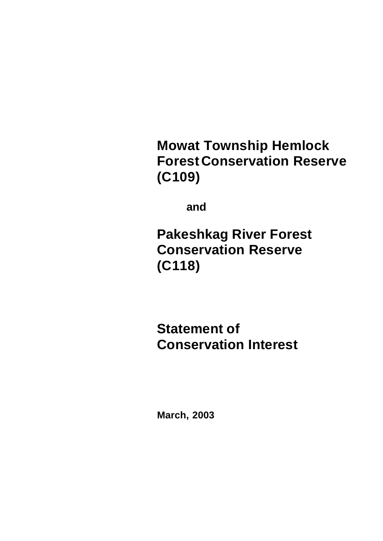**Mowat Township Hemlock Forest Conservation Reserve (C109)**

**and**

**Pakeshkag River Forest Conservation Reserve (C118)**

**Statement of Conservation Interest**

**March, 2003**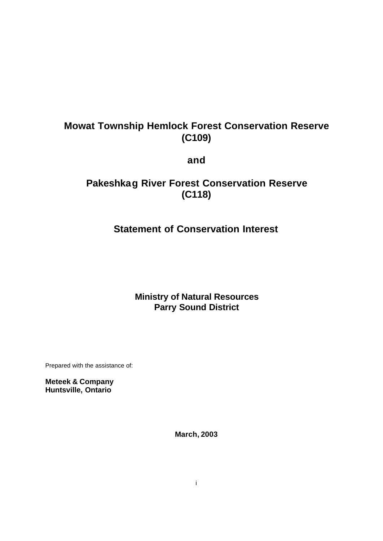# **Mowat Township Hemlock Forest Conservation Reserve (C109)**

**and**

# **Pakeshkag River Forest Conservation Reserve (C118)**

# **Statement of Conservation Interest**

**Ministry of Natural Resources Parry Sound District**

Prepared with the assistance of:

**Meteek & Company Huntsville, Ontario**

**March, 2003**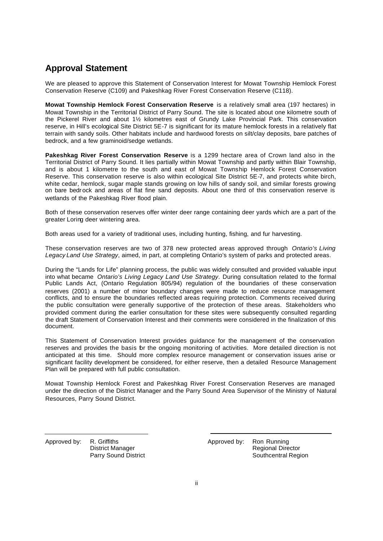### **Approval Statement**

We are pleased to approve this Statement of Conservation Interest for Mowat Township Hemlock Forest Conservation Reserve (C109) and Pakeshkag River Forest Conservation Reserve (C118).

**Mowat Township Hemlock Forest Conservation Reserve** is a relatively small area (197 hectares) in Mowat Township in the Territorial District of Parry Sound. The site is located about one kilometre south of the Pickerel River and about 1½ kilometres east of Grundy Lake Provincial Park. This conservation reserve, in Hill's ecological Site District 5E-7 is significant for its mature hemlock forests in a relatively flat terrain with sandy soils. Other habitats include and hardwood forests on silt/clay deposits, bare patches of bedrock, and a few graminoid/sedge wetlands.

**Pakeshkag River Forest Conservation Reserve** is a 1299 hectare area of Crown land also in the Territorial District of Parry Sound. It lies partially within Mowat Township and partly within Blair Township, and is about 1 kilometre to the south and east of Mowat Township Hemlock Forest Conservation Reserve. This conservation reserve is also within ecological Site District 5E-7, and protects white birch, white cedar, hemlock, sugar maple stands growing on low hills of sandy soil, and similar forests growing on bare bedr ock and areas of flat fine sand deposits. About one third of this conservation reserve is wetlands of the Pakeshkag River flood plain.

Both of these conservation reserves offer winter deer range containing deer yards which are a part of the greater Loring deer wintering area.

Both areas used for a variety of traditional uses, including hunting, fishing, and fur harvesting.

These conservation reserves are two of 378 new protected areas approved through *Ontario's Living Legacy Land Use Strategy*, aimed, in part, at completing Ontario's system of parks and protected areas.

During the "Lands for Life" planning process, the public was widely consulted and provided valuable input into what became *Ontario's Living Legacy Land Use Strategy*. During consultation related to the formal Public Lands Act, (Ontario Regulation 805/94) regulation of the boundaries of these conservation reserves (2001) a number of minor boundary changes were made to reduce resource management conflicts, and to ensure the boundaries reflected areas requiring protection. Comments received during the public consultation were generally supportive of the protection of these areas. Stakeholders who provided comment during the earlier consultation for these sites were subsequently consulted regarding the draft Statement of Conservation Interest and their comments were considered in the finalization of this document.

This Statement of Conservation Interest provides guidance for the management of the conservation reserves and provides the basis for the ongoing monitoring of activities. More detailed direction is not anticipated at this time. Should more complex resource management or conservation issues arise or significant facility development be considered, for either reserve, then a detailed Resource Management Plan will be prepared with full public consultation.

Mowat Township Hemlock Forest and Pakeshkag River Forest Conservation Reserves are managed under the direction of the District Manager and the Parry Sound Area Supervisor of the Ministry of Natural Resources, Parry Sound District.

Approved by: R. Griffiths District Manager Parry Sound District Approved by: Ron Running Regional Director Southcentral Region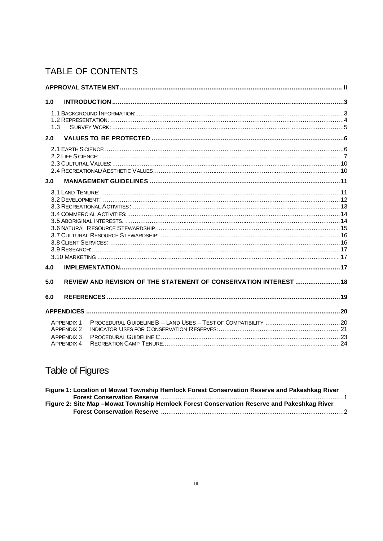# TABLE OF CONTENTS

| 1.0                                                                       |  |
|---------------------------------------------------------------------------|--|
| 1.3                                                                       |  |
| 2.0                                                                       |  |
|                                                                           |  |
| 3.0                                                                       |  |
| 4.0                                                                       |  |
| REVIEW AND REVISION OF THE STATEMENT OF CONSERVATION INTEREST  18<br>5.0  |  |
| 6.0                                                                       |  |
|                                                                           |  |
| <b>APPENDIX 1</b><br><b>APPENDIX 2</b><br>APPFNDIX 3<br><b>APPENDIX 4</b> |  |

# **Table of Figures**

| Figure 1: Location of Mowat Township Hemlock Forest Conservation Reserve and Pakeshkag River |  |
|----------------------------------------------------------------------------------------------|--|
|                                                                                              |  |
| Figure 2: Site Map - Mowat Township Hemlock Forest Conservation Reserve and Pakeshkag River  |  |
|                                                                                              |  |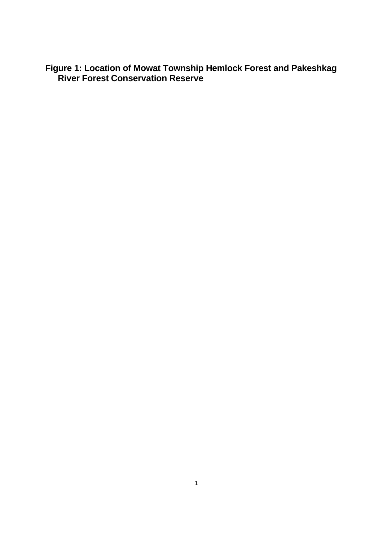**Figure 1: Location of Mowat Township Hemlock Forest and Pakeshkag River Forest Conservation Reserve**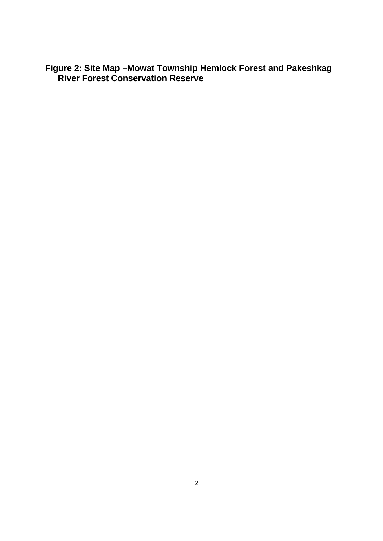**Figure 2: Site Map –Mowat Township Hemlock Forest and Pakeshkag River Forest Conservation Reserve**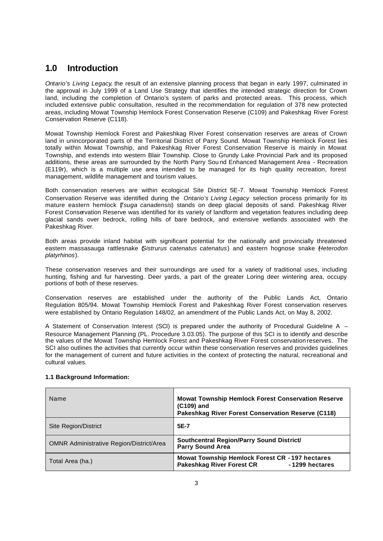### **1.0 Introduction**

*Ontario's Living Legacy*, the result of an extensive planning process that began in early 1997, culminated in the approval in July 1999 of a Land Use Strategy that identifies the intended strategic direction for Crown land, including the completion of Ontario's system of parks and protected areas. This process, which included extensive public consultation, resulted in the recommendation for regulation of 378 new protected areas, including Mowat Township Hemlock Forest Conservation Reserve (C109) and Pakeshkag River Forest Conservation Reserve (C118).

Mowat Township Hemlock Forest and Pakeshkag River Forest conservation reserves are areas of Crown land in unincorporated parts of the Territorial District of Parry Sound. Mowat Township Hemlock Forest lies totally within Mowat Township, and Pakeshkag River Forest Conservation Reserve is mainly in Mowat Township, and extends into western Blair Township. Close to Grundy Lake Provincial Park and its proposed additions, these areas are surrounded by the North Parry Sou nd Enhanced Management Area - Recreation (E119r), which is a multiple use area intended to be managed for its high quality recreation, forest management, wildlife management and tourism values.

Both conservation reserves are within ecological Site District 5E-7. Mowat Township Hemlock Forest Conservation Reserve was identified during the *Ontario's Living Legacy* selection process primarily for its mature eastern hemlock (*Tsuga canadensis*) stands on deep glacial deposits of sand. Pakeshkag River Forest Conservation Reserve was identified for its variety of landform and vegetation features including deep glacial sands over bedrock, rolling hills of bare bedrock, and extensive wetlands associated with the Pakeshkag River.

Both areas provide inland habitat with significant potential for the nationally and provincially threatened eastern massasauga rattlesnake (*Sistrurus catenatus catenatus*) and eastern hognose snake (*Heterodon platyrhinos*).

These conservation reserves and their surroundings are used for a variety of traditional uses, including hunting, fishing and fur harvesting. Deer yards, a part of the greater Loring deer wintering area, occupy portions of both of these reserves.

Conservation reserves are established under the authority of the Public Lands Act, Ontario Regulation 805/94. Mowat Township Hemlock Forest and Pakeshkag River Forest conservation reserves were established by Ontario Regulation 148/02, an amendment of the Public Lands Act, on May 8, 2002.

A Statement of Conservation Interest (SCI) is prepared under the authority of Procedural Guideline A – Resource Management Planning (PL. Procedure 3.03.05). The purpose of this SCI is to identify and describe the values of the Mowat Township Hemlock Forest and Pakeshkag River Forest conservation reserves. The SCI also outlines the activities that currently occur within these conservation reserves and provides quidelines for the management of current and future activities in the context of protecting the natural, recreational and cultural values.

| Name                                            | <b>Mowat Township Hemlock Forest Conservation Reserve</b><br>(C109) and<br>Pakeshkag River Forest Conservation Reserve (C118) |
|-------------------------------------------------|-------------------------------------------------------------------------------------------------------------------------------|
| <b>Site Region/District</b>                     | 5E-7                                                                                                                          |
| <b>OMNR Administrative Region/District/Area</b> | Southcentral Region/Parry Sound District/<br><b>Parry Sound Area</b>                                                          |
| Total Area (ha.)                                | Mowat Township Hemlock Forest CR - 197 hectares<br><b>Pakeshkag River Forest CR</b><br>-1299 hectares                         |

#### **1.1 Background Information:**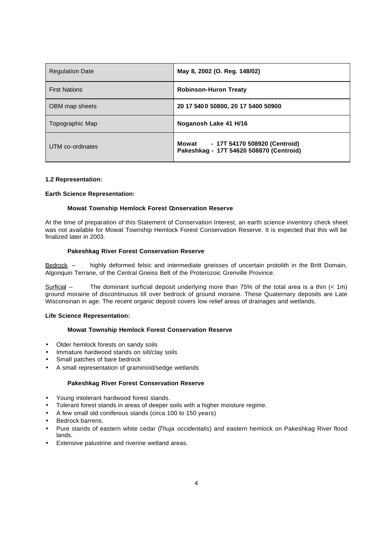| <b>Regulation Date</b> | May 8, 2002 (O. Reg. 148/02)                                                      |
|------------------------|-----------------------------------------------------------------------------------|
| <b>First Nations</b>   | <b>Robinson-Huron Treaty</b>                                                      |
| OBM map sheets         | 20 17 540 0 50800, 20 17 5400 50900                                               |
| Topographic Map        | Noganosh Lake 41 H/16                                                             |
| UTM co-ordinates       | Mowat<br>- 17T 54170 508920 (Centroid)<br>Pakeshkag - 17T 54620 508870 (Centroid) |

#### **1.2 Representation:**

#### **Earth Science Representation:**

#### **Mowat Township Hemlock Forest Conservation Reserve**

At the time of preparation of this Statement of Conservation Interest, an earth science inventory check sheet was not available for Mowat Township Hemlock Forest Conservation Reserve. It is expected that this will be finalized later in 2003.

#### **Pakeshkag River Forest Conservation Reserve**

Bedrock -- highly deformed felsic and intermediate gneisses of uncertain protolith in the Britt Domain, Algonquin Terrane, of the Central Gneiss Belt of the Proterozoic Grenville Province.

Surficial -- The dominant surficial deposit underlying more than 75% of the total area is a thin (< 1m) ground moraine of discontinuous till over bedrock of ground moraine. These Quaternary deposits are Late Wisconsinan in age. The recent organic deposit covers low relief areas of drainages and wetlands.

#### **Life Science Representation:**

#### **Mowat Township Hemlock Forest Conservation Reserve**

- Older hemlock forests on sandy soils
- Immature hardwood stands on silt/clay soils
- Small patches of bare bedrock
- A small representation of graminoid/sedge wetlands

#### **Pakeshkag River Forest Conservation Reserve**

- Young intolerant hardwood forest stands.
- Tolerant forest stands in areas of deeper soils with a higher moisture regime.
- A few small old coniferous stands (circa 100 to 150 years)
- Bedrock barrens.
- Pure stands of eastern white cedar (*Thuja occidentalis*) and eastern hemlock on Pakeshkag River flood lands.
- Extensive palustrine and riverine wetland areas.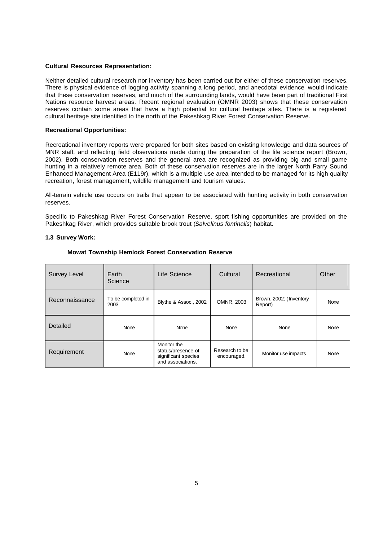#### **Cultural Resources Representation:**

Neither detailed cultural research nor inventory has been carried out for either of these conservation reserves. There is physical evidence of logging activity spanning a long period, and anecdotal evidence would indicate that these conservation reserves, and much of the surrounding lands, would have been part of traditional First Nations resource harvest areas. Recent regional evaluation (OMNR 2003) shows that these conservation reserves contain some areas that have a high potential for cultural heritage sites. There is a registered cultural heritage site identified to the north of the Pakeshkag River Forest Conservation Reserve.

#### **Recreational Opportunities:**

Recreational inventory reports were prepared for both sites based on existing knowledge and data sources of MNR staff, and reflecting field observations made during the preparation of the life science report (Brown, 2002). Both conservation reserves and the general area are recognized as providing big and small game hunting in a relatively remote area. Both of these conservation reserves are in the larger North Parry Sound Enhanced Management Area (E119r), which is a multiple use area intended to be managed for its high quality recreation, forest management, wildlife management and tourism values.

All-terrain vehicle use occurs on trails that appear to be associated with hunting activity in both conservation reserves.

Specific to Pakeshkag River Forest Conservation Reserve, sport fishing opportunities are provided on the Pakeshkag River, which provides suitable brook trout (*Salvelinus fontinalis*) habitat.

#### **1.3 Survey Work:**

| Survey Level   | Earth<br>Science           | Life Science                                                                  | Cultural                      | Recreational                       | Other       |
|----------------|----------------------------|-------------------------------------------------------------------------------|-------------------------------|------------------------------------|-------------|
| Reconnaissance | To be completed in<br>2003 | Blythe & Assoc., 2002                                                         | OMNR, 2003                    | Brown, 2002; (Inventory<br>Report) | None        |
| Detailed       | None                       | <b>None</b>                                                                   | None                          | None                               | None        |
| Requirement    | None                       | Monitor the<br>status/presence of<br>significant species<br>and associations. | Research to be<br>encouraged. | Monitor use impacts                | <b>None</b> |

#### **Mowat Township Hemlock Forest Conservation Reserve**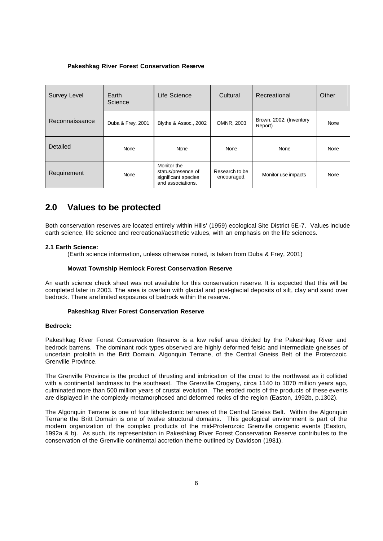#### **Pakeshkag River Forest Conservation Reserve**

| <b>Survey Level</b> | Earth<br>Science  | Life Science                                                                  | Cultural                      | Recreational                       | Other |
|---------------------|-------------------|-------------------------------------------------------------------------------|-------------------------------|------------------------------------|-------|
| Reconnaissance      | Duba & Frey, 2001 | Blythe & Assoc., 2002                                                         | OMNR, 2003                    | Brown, 2002; (Inventory<br>Report) | None  |
| Detailed            | None              | None                                                                          | None                          | None                               | None  |
| Requirement         | None              | Monitor the<br>status/presence of<br>significant species<br>and associations. | Research to be<br>encouraged. | Monitor use impacts                | None  |

### **2.0 Values to be protected**

Both conservation reserves are located entirely within Hills' (1959) ecological Site District 5E-7. Values include earth science, life science and recreational/aesthetic values, with an emphasis on the life sciences.

#### **2.1 Earth Science:**

(Earth science information, unless otherwise noted, is taken from Duba & Frey, 2001)

#### **Mowat Township Hemlock Forest Conservation Reserve**

An earth science check sheet was not available for this conservation reserve. It is expected that this will be completed later in 2003. The area is overlain with glacial and post-glacial deposits of silt, clay and sand over bedrock. There are limited exposures of bedrock within the reserve.

#### **Pakeshkag River Forest Conservation Reserve**

#### **Bedrock:**

Pakeshkag River Forest Conservation Reserve is a low relief area divided by the Pakeshkag River and bedrock barrens. The dominant rock types observed are highly deformed felsic and intermediate gneisses of uncertain protolith in the Britt Domain, Algonquin Terrane, of the Central Gneiss Belt of the Proterozoic Grenville Province.

The Grenville Province is the product of thrusting and imbrication of the crust to the northwest as it collided with a continental landmass to the southeast. The Grenville Orogeny, circa 1140 to 1070 million years ago, culminated more than 500 million years of crustal evolution. The eroded roots of the products of these events are displayed in the complexly metamorphosed and deformed rocks of the region (Easton, 1992b, p.1302).

The Algonquin Terrane is one of four lithotectonic terranes of the Central Gneiss Belt. Within the Algonquin Terrane the Britt Domain is one of twelve structural domains. This geological environment is part of the modern organization of the complex products of the mid-Proterozoic Grenville orogenic events (Easton, 1992a & b). As such, its representation in Pakeshkag River Forest Conservation Reserve contributes to the conservation of the Grenville continental accretion theme outlined by Davidson (1981).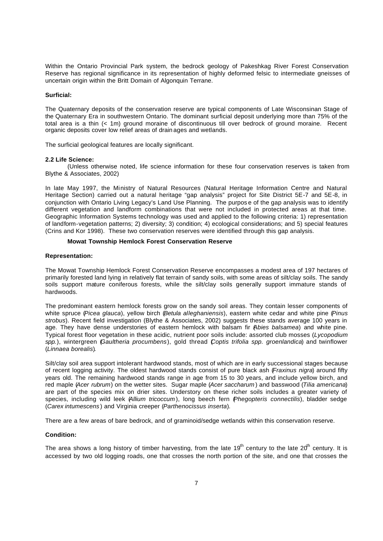Within the Ontario Provincial Park system, the bedrock geology of Pakeshkag River Forest Conservation Reserve has regional significance in its representation of highly deformed felsic to intermediate gneisses of uncertain origin within the Britt Domain of Algonquin Terrane.

#### **Surficial:**

The Quaternary deposits of the conservation reserve are typical components of Late Wisconsinan Stage of the Quaternary Era in southwestern Ontario. The dominant surficial deposit underlying more than 75% of the total area is a thin (< 1m) ground moraine of discontinuous till over bedrock of ground moraine. Recent organic deposits cover low relief areas of drain ages and wetlands.

The surficial geological features are locally significant.

#### **2.2 Life Science:**

(Unless otherwise noted, life science information for these four conservation reserves is taken from Blythe & Associates, 2002)

In late May 1997, the Ministry of Natural Resources (Natural Heritage Information Centre and Natural Heritage Section) carried out a natural heritage "gap analysis" project for Site District 5E-7 and 5E-8, in conjunction with Ontario Living Legacy's Land Use Planning. The purpos e of the gap analysis was to identify different vegetation and landform combinations that were not included in protected areas at that time. Geographic Information Systems technology was used and applied to the following criteria: 1) representation of landform-vegetation patterns; 2) diversity; 3) condition; 4) ecological considerations; and 5) special features (Crins and Kor 1998). These two conservation reserves were identified through this gap analysis.

#### **Mowat Township Hemlock Forest Conservation Reserve**

#### **Representation:**

The Mowat Township Hemlock Forest Conservation Reserve encompasses a modest area of 197 hectares of primarily forested land lying in relatively flat terrain of sandy soils, with some areas of silt/clay soils. The sandy soils support mature coniferous forests, while the silt/clay soils generally support immature stands of hardwoods.

The predominant eastern hemlock forests grow on the sandy soil areas. They contain lesser components of white spruce (*Picea glauca*), yellow birch (*Betula alleghaniensis*), eastern white cedar and white pine (*Pinus strobus*). Recent field investigation (Blythe & Associates, 2002) suggests these stands average 100 years in age. They have dense understories of eastern hemlock with balsam fir (*Abies balsamea*) and white pine. Typical forest floor vegetation in these acidic, nutrient poor soils include: assorted club mosses (*Lycopodium spp.*), wintergreen (*Gaultheria procumbens*), gold thread (*Coptis trifolia spp. groenlandica*) and twinflower (*Linnaea borealis*).

Silt/clay soil area support intolerant hardwood stands, most of which are in early successional stages because of recent logging activity. The oldest hardwood stands consist of pure black ash (*Fraxinus nigra*) around fifty years old. The remaining hardwood stands range in age from 15 to 30 years, and include yellow birch, and red maple (*Acer rubrum*) on the wetter sites. Sugar maple (*Acer saccharum* ) and basswood (*Tilia americana*) are part of the species mix on drier sites. Understory on these richer soils includes a greater variety of species, including wild leek (*Allium tricoccum* ), long beech fern (*Phegopteris connectilis*), bladder sedge (*Carex intumescens* ) and Virginia creeper (*Parthenocissus inserta*).

There are a few areas of bare bedrock, and of graminoid/sedge wetlands within this conservation reserve.

#### **Condition:**

The area shows a long history of timber harvesting, from the late  $19<sup>th</sup>$  century to the late  $20<sup>th</sup>$  century. It is accessed by two old logging roads, one that crosses the north portion of the site, and one that crosses the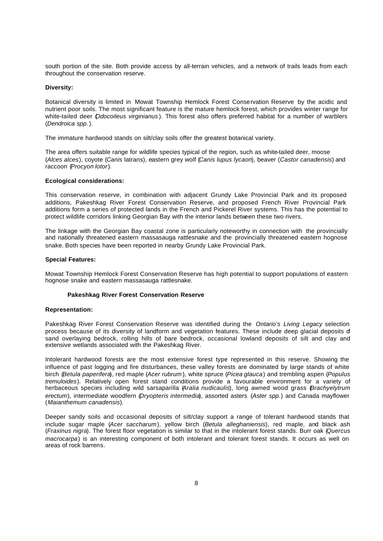south portion of the site. Both provide access by all-terrain vehicles, and a network of trails leads from each throughout the conservation reserve.

#### **Diversity:**

Botanical diversity is limited in Mowat Township Hemlock Forest Conservation Reserve by the acidic and nutrient poor soils. The most significant feature is the mature hemlock forest, which provides winter range for white-tailed deer (*Odocoileus virginianus* ). This forest also offers preferred habitat for a number of warblers (*Dendroica spp.*).

The immature hardwood stands on silt/clay soils offer the greatest botanical variety.

The area offers suitable range for wildlife species typical of the region, such as white-tailed deer, moose (*Alces alces*), coyote (*Canis* latrans), eastern grey wolf (*Canis lupus lycaon*), beaver (*Castor canadensis*) and raccoon (*Procyon lotor*).

#### **Ecological considerations:**

This conservation reserve, in combination with adjacent Grundy Lake Provincial Park and its proposed additions, Pakeshkag River Forest Conservation Reserve, and proposed French River Provincial Park additions form a series of protected lands in the French and Pickerel River systems. This has the potential to protect wildlife corridors linking Georgian Bay with the interior lands between these two rivers.

The linkage with the Georgian Bay coastal zone is particularly noteworthy in connection with the provincially and nationally threatened eastern massasauga rattlesnake and the provincially threatened eastern hognose snake. Both species have been reported in nearby Grundy Lake Provincial Park.

#### **Special Features:**

Mowat Township Hemlock Forest Conservation Reserve has high potential to support populations of eastern hognose snake and eastern massasauga rattlesnake.

#### **Pakeshkag River Forest Conservation Reserve**

#### **Representation:**

Pakeshkag River Forest Conservation Reserve was identified during the *Ontario's Living Legacy* selection process because of its diversity of landform and vegetation features. These include deep glacial deposits of sand overlaying bedrock, rolling hills of bare bedrock, occasional lowland deposits of silt and clay and extensive wetlands associated with the Pakeshkag River.

Intolerant hardwood forests are the most extensive forest type represented in this reserve. Showing the influence of past logging and fire disturbances, these valley forests are dominated by large stands of white birch (*Betula paperifera*), red maple (*Acer rubrum* ), white spruce (*Picea glauca*) and trembling aspen (*Populus tremuloides*). Relatively open forest stand conditions provide a favourable environment for a variety of herbaceous species including wild sarsaparilla (*Aralia nudicaulis*), long awned wood grass (*Brachyelytrum erectum*), intermediate woodfern (*Dryopteris intermedia*), assorted asters (*Aster spp.*) and Canada mayflower (*Maianthemum canadensis*).

Deeper sandy soils and occasional deposits of silt/clay support a range of tolerant hardwood stands that include sugar maple (*Acer saccharum*), yellow birch (*Betula alleghaniensis*), red maple, and black ash (*Fraxinus nigra*). The forest floor vegetation is similar to that in the intolerant forest stands. Burr oak (*Quercus macrocarpa*) is an interesting component of both intolerant and tolerant forest stands. It occurs as well on areas of rock barrens.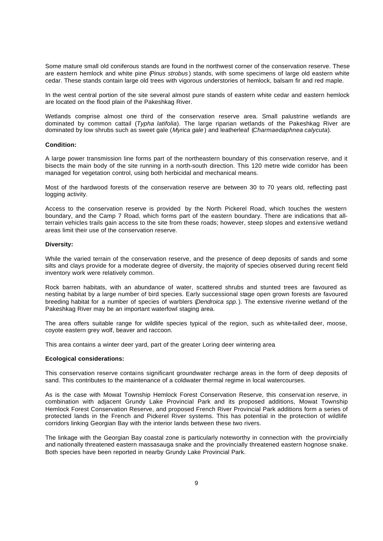Some mature small old coniferous stands are found in the northwest corner of the conservation reserve. These are eastern hemlock and white pine (*Pinus strobus* ) stands, with some specimens of large old eastern white cedar. These stands contain large old trees with vigorous understories of hemlock, balsam fir and red maple.

In the west central portion of the site several almost pure stands of eastern white cedar and eastern hemlock are located on the flood plain of the Pakeshkag River.

Wetlands comprise almost one third of the conservation reserve area. Small palustrine wetlands are dominated by common cattail (*Typha latifolia*). The large riparian wetlands of the Pakeshkag River are dominated by low shrubs such as sweet gale (*Myrica gale* ) and leatherleaf (*Charmaedaphnea calycuta*).

#### **Condition:**

A large power transmission line forms part of the northeastern boundary of this conservation reserve, and it bisects the main body of the site running in a north-south direction. This 120 metre wide corridor has been managed for vegetation control, using both herbicidal and mechanical means.

Most of the hardwood forests of the conservation reserve are between 30 to 70 years old, reflecting past logging activity.

Access to the conservation reserve is provided by the North Pickerel Road, which touches the western boundary, and the Camp 7 Road, which forms part of the eastern boundary. There are indications that allterrain vehicles trails gain access to the site from these roads; however, steep slopes and extensive wetland areas limit their use of the conservation reserve.

#### **Diversity:**

While the varied terrain of the conservation reserve, and the presence of deep deposits of sands and some silts and clays provide for a moderate degree of diversity, the majority of species observed during recent field inventory work were relatively common.

Rock barren habitats, with an abundance of water, scattered shrubs and stunted trees are favoured as nesting habitat by a large number of bird species. Early successional stage open grown forests are favoured breeding habitat for a number of species of warblers (*Dendroica spp.*). The extensive riverine wetland of the Pakeshkag River may be an important waterfowl staging area.

The area offers suitable range for wildlife species typical of the region, such as white-tailed deer, moose, coyote eastern grey wolf, beaver and raccoon.

This area contains a winter deer yard, part of the greater Loring deer wintering area.

#### **Ecological considerations:**

This conservation reserve contains significant groundwater recharge areas in the form of deep deposits of sand. This contributes to the maintenance of a coldwater thermal regime in local watercourses.

As is the case with Mowat Township Hemlock Forest Conservation Reserve, this conservat ion reserve, in combination with adjacent Grundy Lake Provincial Park and its proposed additions, Mowat Township Hemlock Forest Conservation Reserve, and proposed French River Provincial Park additions form a series of protected lands in the French and Pickerel River systems. This has potential in the protection of wildlife corridors linking Georgian Bay with the interior lands between these two rivers.

The linkage with the Georgian Bay coastal zone is particularly noteworthy in connection with the provincially and nationally threatened eastern massasauga snake and the provincially threatened eastern hognose snake. Both species have been reported in nearby Grundy Lake Provincial Park.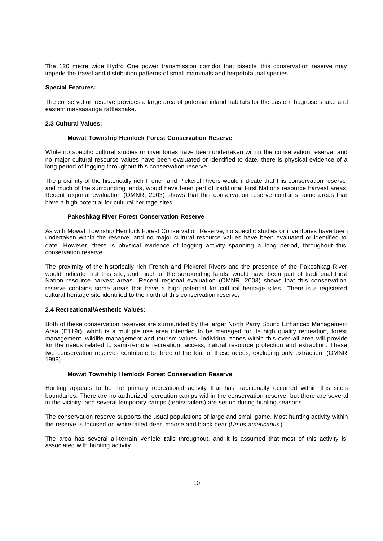The 120 metre wide Hydro One power transmission corridor that bisects this conservation reserve may impede the travel and distribution patterns of small mammals and herpetofaunal species.

#### **Special Features:**

The conservation reserve provides a large area of potential inland habitats for the eastern hognose snake and eastern massasauga rattlesnake.

#### **2.3 Cultural Values:**

#### **Mowat Township Hemlock Forest Conservation Reserve**

While no specific cultural studies or inventories have been undertaken within the conservation reserve, and no major cultural resource values have been evaluated or identified to date, there is physical evidence of a long period of logging throughout this conservation reserve.

The proximity of the historically rich French and Pickerel Rivers would indicate that this conservation reserve, and much of the surrounding lands, would have been part of traditional First Nations resource harvest areas. Recent regional evaluation (OMNR, 2003) shows that this conservation reserve contains some areas that have a high potential for cultural heritage sites.

#### **Pakeshkag River Forest Conservation Reserve**

As with Mowat Township Hemlock Forest Conservation Reserve, no specific studies or inventories have been undertaken within the reserve, and no major cultural resource values have been evaluated or identified to date. However, there is physical evidence of logging activity spanning a long period, throughout this conservation reserve.

The proximity of the historically rich French and Pickerel Rivers and the presence of the Pakeshkag River would indicate that this site, and much of the surrounding lands, would have been part of traditional First Nation resource harvest areas. Recent regional evaluation (OMNR, 2003) shows that this conservation reserve contains some areas that have a high potential for cultural heritage sites. There is a registered cultural heritage site identified to the north of this conservation reserve.

#### **2.4 Recreational/Aesthetic Values:**

Both of these conservation reserves are surrounded by the larger North Parry Sound Enhanced Management Area (E119r), which is a multiple use area intended to be managed for its high quality recreation, forest management, wildlife management and tourism values. Individual zones within this over-all area will provide for the needs related to semi-remote recreation, access, natural resource protection and extraction. These two conservation reserves contribute to three of the four of these needs, excluding only extraction. (OMNR 1999)

#### **Mowat Township Hemlock Forest Conservation Reserve**

Hunting appears to be the primary recreational activity that has traditionally occurred within this site's boundaries. There are no authorized recreation camps within the conservation reserve, but there are several in the vicinity, and several temporary camps (tents/trailers) are set up during hunting seasons.

The conservation reserve supports the usual populations of large and small game. Most hunting activity within the reserve is focused on white-tailed deer, moose and black bear (*Ursus americanus* ).

The area has several all-terrain vehicle tails throughout, and it is assumed that most of this activity is associated with hunting activity.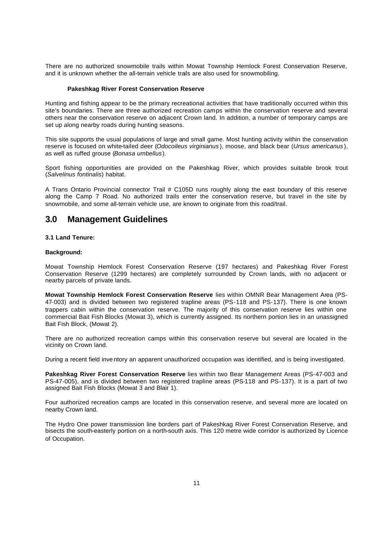There are no authorized snowmobile trails within Mowat Township Hemlock Forest Conservation Reserve, and it is unknown whether the all-terrain vehicle trails are also used for snowmobiling.

#### **Pakeshkag River Forest Conservation Reserve**

Hunting and fishing appear to be the primary recreational activities that have traditionally occurred within this site's boundaries. There are three authorized recreation camps within the conservation reserve and several others near the conservation reserve on adjacent Crown land. In addition, a number of temporary camps are set up along nearby roads during hunting seasons.

This site supports the usual populations of large and small game. Most hunting activity within the conservation reserve is focused on white-tailed deer (*Odocoileus virginianus* ), moose, and black bear (*Ursus americanus* ), as well as ruffed grouse (*Bonasa umbellus*).

Sport fishing opportunities are provided on the Pakeshkag River, which provides suitable brook trout (*Salvelinus fontinalis*) habitat.

A Trans Ontario Provincial connector Trail # C105D runs roughly along the east boundary of this reserve along the Camp 7 Road. No authorized trails enter the conservation reserve, but travel in the site by snowmobile, and some all-terrain vehicle use, are known to originate from this road/trail.

### **3.0 Management Guidelines**

#### **3.1 Land Tenure:**

#### **Background:**

Mowat Township Hemlock Forest Conservation Reserve (197 hectares) and Pakeshkag River Forest Conservation Reserve (1299 hectares) are completely surrounded by Crown lands, with no adjacent or nearby parcels of private lands.

**Mowat Township Hemlock Forest Conservation Reserve** lies within OMNR Bear Management Area (PS-47-003) and is divided between two registered trapline areas (PS-118 and PS-137). There is one known trappers cabin within the conservation reserve. The majority of this conservation reserve lies within one commercial Bait Fish Blocks (Mowat 3), which is currently assigned. Its northern portion lies in an unassigned Bait Fish Block, (Mowat 2).

There are no authorized recreation camps within this conservation reserve but several are located in the vicinity on Crown land.

During a recent field inve ntory an apparent unauthorized occupation was identified, and is being investigated.

**Pakeshkag River Forest Conservation Reserve** lies within two Bear Management Areas (PS-47-003 and PS-47-005), and is divided between two registered trapline areas (PS-118 and PS-137). It is a part of two assigned Bait Fish Blocks (Mowat 3 and Blair 1).

Four authorized recreation camps are located in this conservation reserve, and several more are located on nearby Crown land.

The Hydro One power transmission line borders part of Pakeshkag River Forest Conservation Reserve, and bisects the south-easterly portion on a north-south axis. This 120 metre wide corridor is authorized by Licence of Occupation.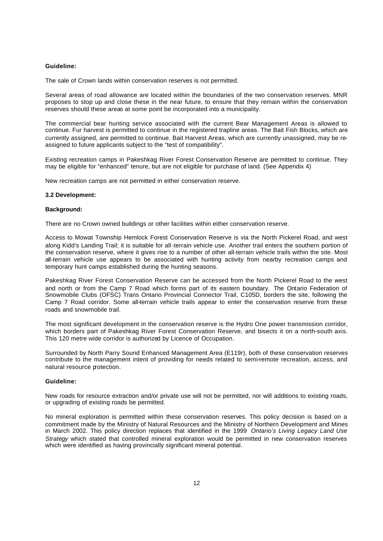#### **Guideline:**

The sale of Crown lands within conservation reserves is not permitted.

Several areas of road allowance are located within the boundaries of the two conservation reserves. MNR proposes to stop up and close these in the near future, to ensure that they remain within the conservation reserves should these areas at some point be incorporated into a municipality.

The commercial bear hunting service associated with the current Bear Management Areas is allowed to continue. Fur harvest is permitted to continue in the registered trapline areas. The Bait Fish Blocks, which are currently assigned, are permitted to continue. Bait Harvest Areas, which are currently unassigned, may be reassigned to future applicants subject to the "test of compatibility".

Existing recreation camps in Pakeshkag River Forest Conservation Reserve are permitted to continue. They may be eligible for "enhanced" tenure, but are not eligible for purchase of land. (See Appendix 4)

New recreation camps are not permitted in either conservation reserve.

#### **3.2 Development:**

#### **Background:**

There are no Crown owned buildings or other facilities within either conservation reserve.

Access to Mowat Township Hemlock Forest Conservation Reserve is via the North Pickerel Road, and west along Kidd's Landing Trail; it is suitable for all -terrain vehicle use. Another trail enters the southern portion of the conservation reserve, where it gives rise to a number of other all-terrain vehicle trails within the site. Most all-terrain vehicle use appears to be associated with hunting activity from nearby recreation camps and temporary hunt camps established during the hunting seasons.

Pakeshkag River Forest Conservation Reserve can be accessed from the North Pickerel Road to the west and north or from the Camp 7 Road which forms part of its eastern boundary. The Ontario Federation of Snowmobile Clubs (OFSC) Trans Ontario Provincial Connector Trail, C105D, borders the site, following the Camp 7 Road corridor. Some all-terrain vehicle trails appear to enter the conservation reserve from these roads and snowmobile trail.

The most significant development in the conservation reserve is the Hydro One power transmission corridor, which borders part of Pakeshkag River Forest Conservation Reserve, and bisects it on a north-south axis. This 120 metre wide corridor is authorized by Licence of Occupation.

Surrounded by North Parry Sound Enhanced Management Area (E119r), both of these conservation reserves contribute to the management intent of providing for needs related to semi-remote recreation, access, and natural resource protection.

#### **Guideline:**

New roads for resource extraction and/or private use will not be permitted, nor will additions to existing roads, or upgrading of existing roads be permitted.

No mineral exploration is permitted within these conservation reserves. This policy decision is based on a commitment made by the Ministry of Natural Resources and the Ministry of Northern Development and Mines in March 2002. This policy direction replaces that identified in the 1999 *Ontario's Living Legacy Land Use Strategy* which stated that controlled mineral exploration would be permitted in new conservation reserves which were identified as having provincially significant mineral potential.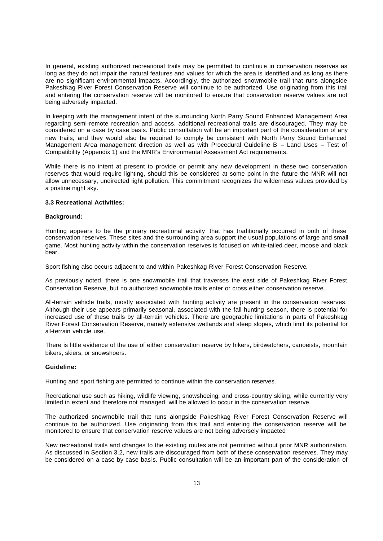In general, existing authorized recreational trails may be permitted to continu e in conservation reserves as long as they do not impair the natural features and values for which the area is identified and as long as there are no significant environmental impacts. Accordingly, the authorized snowmobile trail that runs alongside Pakeshkag River Forest Conservation Reserve will continue to be authorized. Use originating from this trail and entering the conservation reserve will be monitored to ensure that conservation reserve values are not being adversely impacted.

In keeping with the management intent of the surrounding North Parry Sound Enhanced Management Area regarding semi-remote recreation and access, additional recreational trails are discouraged. They may be considered on a case by case basis. Public consultation will be an important part of the consideration of any new trails, and they would also be required to comply be consistent with North Parry Sound Enhanced Management Area management direction as well as with Procedural Guideline B - Land Uses - Test of Compatibility (Appendix 1) and the MNR's Environmental Assessment Act requirements.

While there is no intent at present to provide or permit any new development in these two conservation reserves that would require lighting, should this be considered at some point in the future the MNR will not allow unnecessary, undirected light pollution. This commitment recognizes the wilderness values provided by a pristine night sky.

#### **3.3 Recreational Activities:**

#### **Background:**

Hunting appears to be the primary recreational activity that has traditionally occurred in both of these conservation reserves. These sites and the surrounding area support the usual populations of large and small game. Most hunting activity within the conservation reserves is focused on white-tailed deer, moose and black bear.

Sport fishing also occurs adjacent to and within Pakeshkag River Forest Conservation Reserve.

As previously noted, there is one snowmobile trail that traverses the east side of Pakeshkag River Forest Conservation Reserve, but no authorized snowmobile trails enter or cross either conservation reserve.

All-terrain vehicle trails, mostly associated with hunting activity are present in the conservation reserves. Although their use appears primarily seasonal, associated with the fall hunting season, there is potential for increased use of these trails by all-terrain vehicles. There are geographic limitations in parts of Pakeshkag River Forest Conservation Reserve, namely extensive wetlands and steep slopes, which limit its potential for all-terrain vehicle use.

There is little evidence of the use of either conservation reserve by hikers, birdwatchers, canoeists, mountain bikers, skiers, or snowshoers.

#### **Guideline:**

Hunting and sport fishing are permitted to continue within the conservation reserves.

Recreational use such as hiking, wildlife viewing, snowshoeing, and cross-country skiing, while currently very limited in extent and therefore not managed, will be allowed to occur in the conservation reserve.

The authorized snowmobile trail that runs alongside Pakeshkag River Forest Conservation Reserve will continue to be authorized. Use originating from this trail and entering the conservation reserve will be monitored to ensure that conservation reserve values are not being adversely impacted.

New recreational trails and changes to the existing routes are not permitted without prior MNR authorization. As discussed in Section 3.2, new trails are discouraged from both of these conservation reserves. They may be considered on a case by case basis. Public consultation will be an important part of the consideration of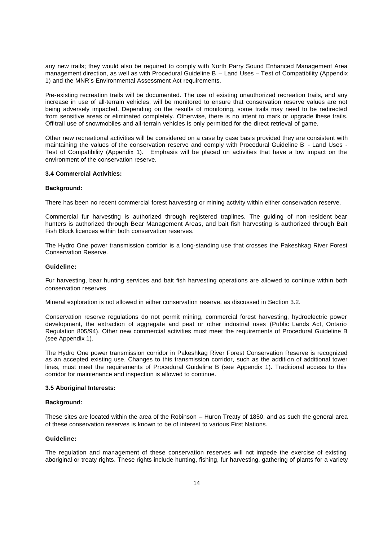any new trails; they would also be required to comply with North Parry Sound Enhanced Management Area management direction, as well as with Procedural Guideline B – Land Uses – Test of Compatibility (Appendix 1) and the MNR's Environmental Assessment Act requirements.

Pre-existing recreation trails will be documented. The use of existing unauthorized recreation trails, and any increase in use of all-terrain vehicles, will be monitored to ensure that conservation reserve values are not being adversely impacted. Depending on the results of monitoring, some trails may need to be redirected from sensitive areas or eliminated completely. Otherwise, there is no intent to mark or upgrade these trails. Off-trail use of snowmobiles and all-terrain vehicles is only permitted for the direct retrieval of game.

Other new recreational activities will be considered on a case by case basis provided they are consistent with maintaining the values of the conservation reserve and comply with Procedural Guideline B - Land Uses - Test of Compatibility (Appendix 1). Emphasis will be placed on activities that have a low impact on the environment of the conservation reserve.

#### **3.4 Commercial Activities:**

#### **Background:**

There has been no recent commercial forest harvesting or mining activity within either conservation reserve.

Commercial fur harvesting is authorized through registered traplines. The guiding of non -resident bear hunters is authorized through Bear Management Areas, and bait fish harvesting is authorized through Bait Fish Block licences within both conservation reserves.

The Hydro One power transmission corridor is a long-standing use that crosses the Pakeshkag River Forest Conservation Reserve.

#### **Guideline:**

Fur harvesting, bear hunting services and bait fish harvesting operations are allowed to continue within both conservation reserves.

Mineral exploration is not allowed in either conservation reserve, as discussed in Section 3.2.

Conservation reserve regulations do not permit mining, commercial forest harvesting, hydroelectric power development, the extraction of aggregate and peat or other industrial uses (Public Lands Act, Ontario Regulation 805/94). Other new commercial activities must meet the requirements of Procedural Guideline B (see Appendix 1).

The Hydro One power transmission corridor in Pakeshkag River Forest Conservation Reserve is recognized as an accepted existing use. Changes to this transmission corridor, such as the addition of additional tower lines, must meet the requirements of Procedural Guideline B (see Appendix 1). Traditional access to this corridor for maintenance and inspection is allowed to continue.

#### **3.5 Aboriginal Interests:**

#### **Background:**

These sites are located within the area of the Robinson – Huron Treaty of 1850, and as such the general area of these conservation reserves is known to be of interest to various First Nations.

#### **Guideline:**

The regulation and management of these conservation reserves will not impede the exercise of existing aboriginal or treaty rights. These rights include hunting, fishing, fur harvesting, gathering of plants for a variety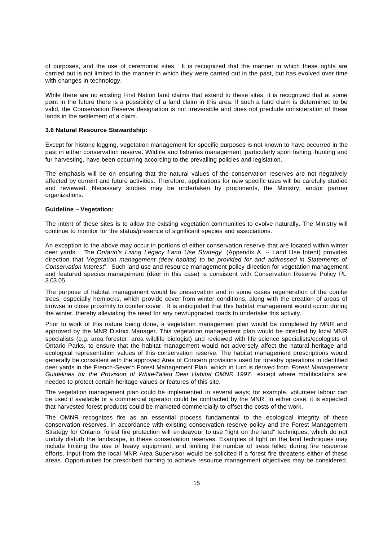of purposes, and the use of ceremonial sites. It is recognized that the manner in which these rights are carried out is not limited to the manner in which they were carried out in the past, but has evolved over time with changes in technology.

While there are no existing First Nation land claims that extend to these sites, it is recognized that at some point in the future there is a possibility of a land claim in this area. If such a land claim is determined to be valid, the Conservation Reserve designation is not irreversible and does not preclude consideration of these lands in the settlement of a claim.

#### **3.6 Natural Resource Stewardship:**

Except for historic logging, vegetation management for specific purposes is not known to have occurred in the past in either conservation reserve. Wildlife and fisheries management, particularly sport fishing, hunting and fur harvesting, have been occurring according to the prevailing policies and legislation.

The emphasis will be on ensuring that the natural values of the conservation reserves are not negatively affected by current and future activities. Therefore, applications for new specific uses will be carefully studied and reviewed. Necessary studies may be undertaken by proponents, the Ministry, and/or partner organizations.

#### **Guideline – Vegetation:**

The intent of these sites is to allow the existing vegetation communities to evolve naturally. The Ministry will continue to monitor for the status/presence of significant species and associations.

An exception to the above may occur in portions of either conservation reserve that are located within winter deer yards. The *Ontario's Living Legacy Land Use Strategy* (Appendix A -- Land Use Intent) provides direction that "*Vegetation management (deer habitat) to be provided for and addressed in Statements of Conservation Interest*". Such land use and resource management policy direction for vegetation management and featured species management (deer in this case) is consistent with Conservation Reserve Policy PL 3.03.05.

The purpose of habitat management would be preservation and in some cases regeneration of the conifer trees, especially hemlocks, which provide cover from winter conditions, along with the creation of areas of browse in close proximity to conifer cover. It is anticipated that this habitat management would occur during the winter, thereby alleviating the need for any new/upgraded roads to undertake this activity.

Prior to work of this nature being done, a vegetation management plan would be completed by MNR and approved by the MNR District Manager. This vegetation management plan would be directed by local MNR specialists (e.g. area forester, area wildlife biologist) and reviewed with life science specialists/ecologists of Ontario Parks, to ensure that the habitat management would not adversely affect the natural heritage and ecological representation values of this conservation reserve. The habitat management prescriptions would generally be consistent with the approved Area of Concern provisions used for forestry operations in identified deer yards in the French-Severn Forest Management Plan, which in turn is derived from *Forest Management*  Guidelines for the Provision of White-Tailed Deer Habitat OMNR 1997, except where modifications are needed to protect certain heritage values or features of this site.

The vegetation management plan could be implemented in several ways; for example, volunteer labour can be used if available or a commercial operator could be contracted by the MNR. In either case, it is expected that harvested forest products could be marketed commercially to offset the costs of the work.

The OMNR recognizes fire as an essential process fundamental to the ecological integrity of these conservation reserves. In accordance with existing conservation reserve policy and the Forest Management Strategy for Ontario, forest fire protection will endeavour to use "light on the land" techniques, which do not unduly disturb the landscape, in these conservation reserves. Examples of light on the land techniques may include limiting the use of heavy equipment, and limiting the number of trees felled during fire response efforts. Input from the local MNR Area Supervisor would be solicited if a forest fire threatens either of these areas. Opportunities for prescribed burning to achieve resource management objectives may be considered.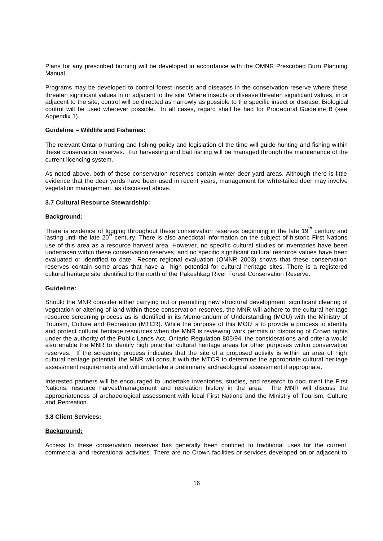Plans for any prescribed burning will be developed in accordance with the OMNR Prescribed Burn Planning Manual.

Programs may be developed to control forest insects and diseases in the conservation reserve where these threaten significant values in or adjacent to the site. Where insects or disease threaten significant values, in or adjacent to the site, control will be directed as narrowly as possible to the specific insect or disease. Biological control will be used wherever possible. In all cases, regard shall be had for Proc edural Guideline B (see Appendix 1).

#### **Guideline – Wildlife and Fisheries:**

The relevant Ontario hunting and fishing policy and legislation of the time will guide hunting and fishing within these conservation reserves. Fur harvesting and bait fishing will be managed through the maintenance of the current licencing system.

As noted above, both of these conservation reserves contain winter deer yard areas. Although there is little evidence that the deer yards have been used in recent years, management for white-tailed deer may involve vegetation management, as discussed above.

#### **3.7 Cultural Resource Stewardship:**

#### **Background:**

There is evidence of logging throughout these conservation reserves beginning in the late 19<sup>th</sup> century and lasting until the late  $20<sup>47</sup>$  century. There is also anecdotal information on the subject of historic First Nations use of this area as a resource harvest area. However, no specific cultural studies or inventories have been undertaken within these conservation reserves, and no specific significant cultural resource values have been evaluated or identified to date. Recent regional evaluation (OMNR 2003) shows that these conservation reserves contain some areas that have a high potential for cultural heritage sites. There is a registered cultural heritage site identified to the north of the Pakeshkag River Forest Conservation Reserve.

#### **Guideline:**

Should the MNR consider either carrying out or permitting new structural development, significant clearing of vegetation or altering of land within these conservation reserves, the MNR will adhere to the cultural heritage resource screening process as is identified in its Memorandum of Understanding (MOU) with the Ministry of Tourism, Culture and Recreation (MTCR). While the purpose of this MOU is to provide a process to identify and protect cultural heritage resources when the MNR is reviewing work permits or disposing of Crown rights under the authority of the Public Lands Act, Ontario Regulation 805/94, the considerations and criteria would also enable the MNR to identify high potential cultural heritage areas for other purposes within conservation reserves. If the screening process indicates that the site of a proposed activity is within an area of high cultural heritage potential, the MNR will consult with the MTCR to determine the appropriate cultural heritage assessment requirements and will undertake a preliminary archaeological assessment if appropriate.

Interested partners will be encouraged to undertake inventories, studies, and research to document the First Nations, resource harvest/management and recreation history in the area. The MNR will discuss the appropriateness of archaeological assessment with local First Nations and the Ministry of Tourism, Culture and Recreation.

#### **3.8 Client Services:**

#### **Background:**

Access to these conservation reserves has generally been confined to traditional uses for the current commercial and recreational activities. There are no Crown facilities or services developed on or adjacent to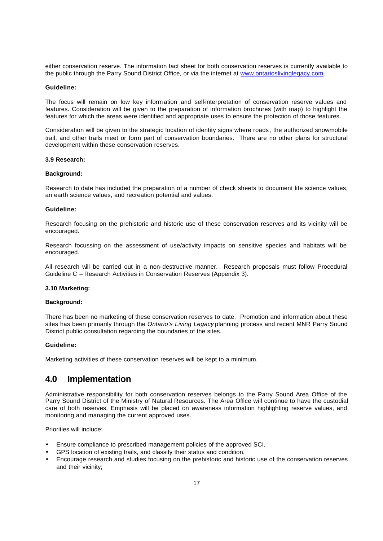either conservation reserve. The information fact sheet for both conservation reserves is currently available to the public through the Parry Sound District Office, or via the internet at www.ontarioslivinglegacy.com.

#### **Guideline:**

The focus will remain on low key information and self-interpretation of conservation reserve values and features. Consideration will be given to the preparation of information brochures (with map) to highlight the features for which the areas were identified and appropriate uses to ensure the protection of those features.

Consideration will be given to the strategic location of identity signs where roads, the authorized snowmobile trail, and other trails meet or form part of conservation boundaries. There are no other plans for structural development within these conservation reserves.

#### **3.9 Research:**

#### **Background:**

Research to date has included the preparation of a number of check sheets to document life science values, an earth science values, and recreation potential and values.

#### **Guideline:**

Research focusing on the prehistoric and historic use of these conservation reserves and its vicinity will be encouraged.

Research focussing on the assessment of use/activity impacts on sensitive species and habitats will be encouraged.

All research will be carried out in a non-destructive manner. Research proposals must follow Procedural Guideline C – Research Activities in Conservation Reserves (Appendix 3).

#### **3.10 Marketing:**

#### **Background:**

There has been no marketing of these conservation reserves to date. Promotion and information about these sites has been primarily through the *Ontario's Living Legacy* planning process and recent MNR Parry Sound District public consultation regarding the boundaries of the sites.

#### **Guideline:**

Marketing activities of these conservation reserves will be kept to a minimum.

### **4.0 Implementation**

Administrative responsibility for both conservation reserves belongs to the Parry Sound Area Office of the Parry Sound District of the Ministry of Natural Resources. The Area Office will continue to have the custodial care of both reserves. Emphasis will be placed on awareness information highlighting reserve values, and monitoring and managing the current approved uses.

Priorities will include:

- Ensure compliance to prescribed management policies of the approved SCI.
- GPS location of existing trails, and classify their status and condition.
- Encourage research and studies focusing on the prehistoric and historic use of the conservation reserves and their vicinity;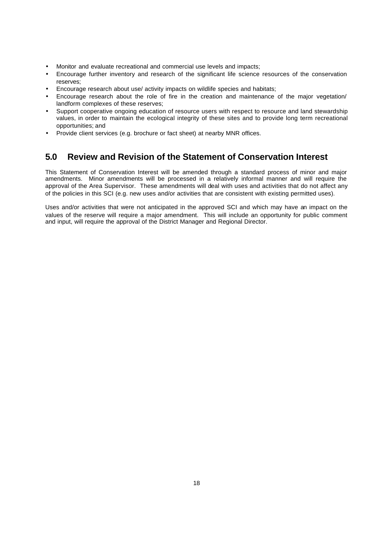- Monitor and evaluate recreational and commercial use levels and impacts;
- Encourage further inventory and research of the significant life science resources of the conservation reserves;
- Encourage research about use/ activity impacts on wildlife species and habitats;
- Encourage research about the role of fire in the creation and maintenance of the major vegetation/ landform complexes of these reserves;
- Support cooperative ongoing education of resource users with respect to resource and land stewardship values, in order to maintain the ecological integrity of these sites and to provide long term recreational opportunities; and
- Provide client services (e.g. brochure or fact sheet) at nearby MNR offices.

### **5.0 Review and Revision of the Statement of Conservation Interest**

This Statement of Conservation Interest will be amended through a standard process of minor and major amendments. Minor amendments will be processed in a relatively informal manner and will require the approval of the Area Supervisor. These amendments will deal with uses and activities that do not affect any of the policies in this SCI (e.g. new uses and/or activities that are consistent with existing permitted uses).

Uses and/or activities that were not anticipated in the approved SCI and which may have an impact on the values of the reserve will require a major amendment. This will include an opportunity for public comment and input, will require the approval of the District Manager and Regional Director.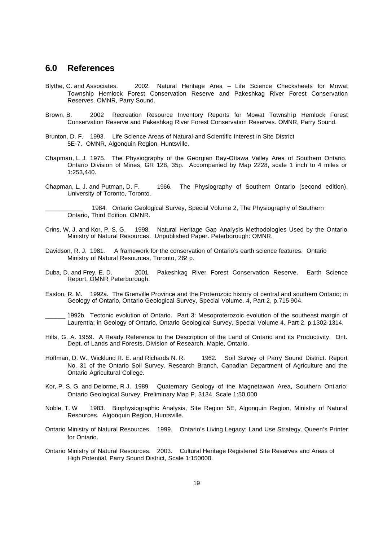### **6.0 References**

- Blythe, C. and Associates. 2002. Natural Heritage Area Life Science Checksheets for Mowat Township Hemlock Forest Conservation Reserve and Pakeshkag River Forest Conservation Reserves. OMNR, Parry Sound.
- Brown, B. 2002 Recreation Resource Inventory Reports for Mowat Township Hemlock Forest Conservation Reserve and Pakeshkag River Forest Conservation Reserves. OMNR, Parry Sound.
- Brunton, D. F. 1993. Life Science Areas of Natural and Scientific Interest in Site District 5E-7. OMNR, Algonquin Region, Huntsville.
- Chapman, L. J. 1975. The Physiography of the Georgian Bay-Ottawa Valley Area of Southern Ontario. Ontario Division of Mines, GR 128, 35p. Accompanied by Map 2228, scale 1 inch to 4 miles or 1:253,440.
- Chapman, L. J. and Putman, D. F. 1966. The Physiography of Southern Ontario (second edition). University of Toronto, Toronto.

1984. Ontario Geological Survey, Special Volume 2, The Physiography of Southern Ontario, Third Edition. OMNR.

- Crins, W. J. and Kor, P. S. G. 1998. Natural Heritage Gap Analysis Methodologies Used by the Ontario Ministry of Natural Resources. Unpublished Paper. Peterborough: OMNR.
- Davidson, R. J. 1981. A framework for the conservation of Ontario's earth science features. Ontario Ministry of Natural Resources, Toronto, 262 p.
- Duba, D. and Frey, E. D. 2001. Pakeshkag River Forest Conservation Reserve. Earth Science Report, OMNR Peterborough.
- Easton, R. M. 1992a. The Grenville Province and the Proterozoic history of central and southern Ontario; in Geology of Ontario, Ontario Geological Survey, Special Volume. 4, Part 2, p.715-904.
- 1992b. Tectonic evolution of Ontario. Part 3: Mesoproterozoic evolution of the southeast margin of Laurentia; in Geology of Ontario, Ontario Geological Survey, Special Volume 4, Part 2, p.1302-1314.
- Hills, G. A. 1959. A Ready Reference to the Description of the Land of Ontario and its Productivity. Ont. Dept. of Lands and Forests, Division of Research, Maple, Ontario.
- Hoffman, D. W., Wicklund R. E. and Richards N. R. 1962. Soil Survey of Parry Sound District. Report No. 31 of the Ontario Soil Survey. Research Branch, Canadian Department of Agriculture and the Ontario Agricultural College.
- Kor, P. S. G. and Delorme, R J. 1989. Quaternary Geology of the Magnetawan Area, Southern Ont ario: Ontario Geological Survey, Preliminary Map P. 3134, Scale 1:50,000
- Noble, T. W 1983. Biophysiographic Analysis, Site Region 5E, Algonquin Region, Ministry of Natural Resources. Algonquin Region, Huntsville.
- Ontario Ministry of Natural Resources. 1999. Ontario's Living Legacy: Land Use Strategy. Queen's Printer for Ontario.
- Ontario Ministry of Natural Resources. 2003. Cultural Heritage Registered Site Reserves and Areas of High Potential, Parry Sound District, Scale 1:150000.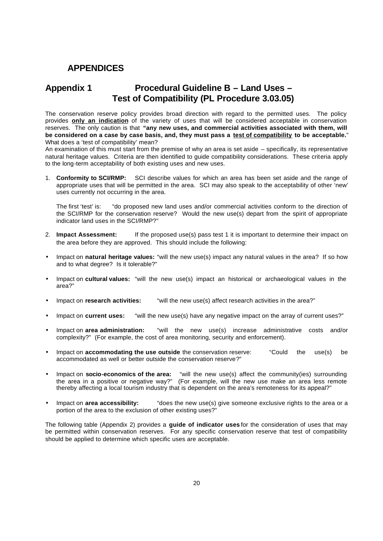### **APPENDICES**

### **Appendix 1 Procedural Guideline B – Land Uses – Test of Compatibility (PL Procedure 3.03.05)**

The conservation reserve policy provides broad direction with regard to the permitted uses. The policy provides **only an indication** of the variety of uses that will be considered acceptable in conservation reserves. The only caution is that **"any new uses, and commercial activities associated with them, will be considered on a case by case basis, and, they must pass a test of compatibility to be acceptable.**" What does a 'test of compatibility' mean?

An examination of this must start from the premise of why an area is set aside – specifically, its representative natural heritage values. Criteria are then identified to guide compatibility considerations. These criteria apply to the long-term acceptability of both existing uses and new uses.

1. **Conformity to SCI/RMP:** SCI describe values for which an area has been set aside and the range of appropriate uses that will be permitted in the area. SCI may also speak to the acceptability of other 'new' uses currently not occurring in the area.

The first 'test' is: "do proposed new land uses and/or commercial activities conform to the direction of the SCI/RMP for the conservation reserve? Would the new use(s) depart from the spirit of appropriate indicator land uses in the SCI/RMP?"

- 2. **Impact Assessment:** If the proposed use(s) pass test 1 it is important to determine their impact on the area before they are approved. This should include the following:
- Impact on **natural heritage values:** "will the new use(s) impact any natural values in the area? If so how and to what degree? Is it tolerable?"
- Impact on **cultural values:** "will the new use(s) impact an historical or archaeological values in the area?"
- Impact on **research activities:** "will the new use(s) affect research activities in the area?"
- Impact on **current uses:** "will the new use(s) have any negative impact on the array of current uses?"
- Impact on **area administration:** "will the new use(s) increase administrative costs and/or complexity?" (For example, the cost of area monitoring, security and enforcement).
- Impact on **accommodating the use outside** the conservation reserve: "Could the use(s) be accommodated as well or better outside the conservation reserve?"
- Impact on **socio-economics of the area:** "will the new use(s) affect the community(ies) surrounding the area in a positive or negative way?" (For example, will the new use make an area less remote thereby affecting a local tourism industry that is dependent on the area's remoteness for its appeal?"
- Impact on **area accessibility:** "does the new use(s) give someone exclusive rights to the area or a portion of the area to the exclusion of other existing uses?"

The following table (Appendix 2) provides a **guide of indicator uses** for the consideration of uses that may be permitted within conservation reserves. For any specific conservation reserve that test of compatibility should be applied to determine which specific uses are acceptable.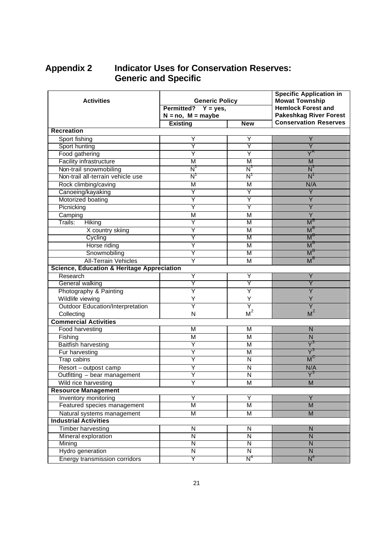# **Appendix 2 Indicator Uses for Conservation Reserves: Generic and Specific**

| <b>Activities</b>                                     | <b>Generic Policy</b>                     |                           | <b>Specific Application in</b><br><b>Mowat Township</b><br><b>Hemlock Forest and</b> |  |
|-------------------------------------------------------|-------------------------------------------|---------------------------|--------------------------------------------------------------------------------------|--|
|                                                       | Permitted? $Y = yes$ ,                    |                           | <b>Pakeshkag River Forest</b>                                                        |  |
|                                                       | $N = no$ , $M = maybe$<br><b>Existing</b> | <b>New</b>                | <b>Conservation Reserves</b>                                                         |  |
| <b>Recreation</b>                                     |                                           |                           |                                                                                      |  |
|                                                       | Y                                         | Y                         | Y                                                                                    |  |
| Sport fishing<br>Sport hunting                        | Υ                                         | Y                         | Ÿ                                                                                    |  |
| Food gathering                                        | Y                                         | Y                         | $Y^{\mathsf{A}}$                                                                     |  |
| <b>Facility infrastructure</b>                        | M                                         | M                         | M                                                                                    |  |
| Non-trail snowmobiling                                | $\overline{\mathsf{N}}$                   | $\overline{\mathsf{N}}$   | N                                                                                    |  |
| Non-trail all-terrain vehicle use                     | $\overline{\mathsf{N}}$                   | N'                        | N                                                                                    |  |
|                                                       |                                           |                           |                                                                                      |  |
| Rock climbing/caving                                  | M                                         | M<br>Y                    | N/A<br>Y                                                                             |  |
| Canoeing/kayaking                                     | Y<br>Y                                    | Y                         | Y                                                                                    |  |
| Motorized boating                                     |                                           |                           |                                                                                      |  |
| Picnicking                                            | Υ                                         | Y                         | Y                                                                                    |  |
| Camping                                               | M                                         | M                         | Y                                                                                    |  |
| Trails:<br>Hiking                                     | Y                                         | M                         | $M^{\text{B}}$                                                                       |  |
| X country skiing                                      | Y                                         | M                         | M <sub>c</sub>                                                                       |  |
| Cycling                                               | Υ                                         | M                         | M'                                                                                   |  |
| Horse riding                                          | Y                                         | M                         | M <sup>2</sup>                                                                       |  |
| Snowmobiling                                          | Υ                                         | M                         | $M^t$                                                                                |  |
| <b>All-Terrain Vehicles</b>                           | Y                                         | M                         | M <sup>c</sup>                                                                       |  |
| <b>Science, Education &amp; Heritage Appreciation</b> |                                           |                           |                                                                                      |  |
| Research                                              | Y                                         | Y                         | Υ                                                                                    |  |
| General walking                                       | Y                                         | Υ                         | Y                                                                                    |  |
| Photography & Painting                                | Y                                         | $\overline{\mathsf{Y}}$   | Ý                                                                                    |  |
| Wildlife viewing                                      | Y                                         | Y                         |                                                                                      |  |
| <b>Outdoor Education/Interpretation</b>               | Ÿ                                         | Y                         | Ÿ                                                                                    |  |
| Collecting                                            | N                                         | M <sup>2</sup>            | M <sup>2</sup>                                                                       |  |
| <b>Commercial Activities</b>                          |                                           |                           |                                                                                      |  |
| Food harvesting                                       | М                                         | M                         | ${\sf N}$                                                                            |  |
| Fishing                                               | M                                         | M                         | ${\sf N}$                                                                            |  |
| <b>Baitfish harvesting</b>                            | Ÿ                                         | M                         | $\overline{\mathsf{Y}}^3$                                                            |  |
| Fur harvesting                                        | Ÿ                                         | М                         |                                                                                      |  |
| <b>Trap cabins</b>                                    | Ϋ                                         | $\overline{N}$            | $M^{\circ}$                                                                          |  |
| Resort - outpost camp                                 | Ÿ                                         | N                         | N/A                                                                                  |  |
| Outfitting - bear management                          | Ÿ                                         | $\overline{\mathsf{N}}$   | $\overline{\mathsf{Y}}^3$                                                            |  |
| Wild rice harvesting                                  | Ÿ                                         | M                         | M                                                                                    |  |
| <b>Resource Management</b>                            |                                           |                           |                                                                                      |  |
| <b>Inventory monitoring</b>                           | Y                                         | Ÿ                         | $\overline{Y}$                                                                       |  |
| Featured species management                           | $\overline{\mathsf{M}}$                   | $\overline{\mathsf{M}}$   | $\overline{M}$                                                                       |  |
| Natural systems management                            | M                                         | M                         | M                                                                                    |  |
| <b>Industrial Activities</b>                          |                                           |                           |                                                                                      |  |
| <b>Timber harvesting</b>                              | N                                         | $\overline{N}$            | ${\sf N}$                                                                            |  |
| Mineral exploration                                   | ${\sf N}$                                 | ${\sf N}$                 | ${\sf N}$                                                                            |  |
| Mining                                                | Ñ                                         | N                         | $\overline{\mathsf{N}}$                                                              |  |
| Hydro generation                                      | $\overline{\mathsf{N}}$                   | $\overline{N}$            | $\mathsf{N}$                                                                         |  |
| <b>Energy transmission corridors</b>                  | Y                                         | $\overline{\mathsf{N}}^4$ | $N^4$                                                                                |  |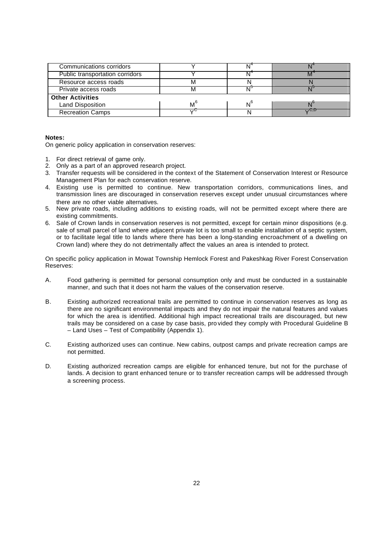| Communications corridors        |    |    |     |
|---------------------------------|----|----|-----|
| Public transportation corridors |    |    |     |
| Resource access roads           |    |    |     |
| Private access roads            |    | ᇹ  |     |
| <b>Other Activities</b>         |    |    |     |
| <b>Land Disposition</b>         | M' | N° |     |
| <b>Recreation Camps</b>         | 、ハ |    | いしい |

#### **Notes:**

On generic policy application in conservation reserves:

- 1. For direct retrieval of game only.
- 2. Only as a part of an approved research project.
- 3. Transfer requests will be considered in the context of the Statement of Conservation Interest or Resource Management Plan for each conservation reserve.
- 4. Existing use is permitted to continue. New transportation corridors, communications lines, and transmission lines are discouraged in conservation reserves except under unusual circumstances where there are no other viable alternatives.
- 5. New private roads, including additions to existing roads, will not be permitted except where there are existing commitments.
- 6. Sale of Crown lands in conservation reserves is not permitted, except for certain minor dispositions (e.g. sale of small parcel of land where adjacent private lot is too small to enable installation of a septic system, or to facilitate legal title to lands where there has been a long-standing encroachment of a dwelling on Crown land) where they do not detrimentally affect the values an area is intended to protect.

On specific policy application in Mowat Township Hemlock Forest and Pakeshkag River Forest Conservation Reserves:

- A. Food gathering is permitted for personal consumption only and must be conducted in a sustainable manner, and such that it does not harm the values of the conservation reserve.
- B. Existing authorized recreational trails are permitted to continue in conservation reserves as long as there are no significant environmental impacts and they do not impair the natural features and values for which the area is identified. Additional high impact recreational trails are discouraged, but new trails may be considered on a case by case basis, pro vided they comply with Procedural Guideline B – Land Uses – Test of Compatibility (Appendix 1).
- C. Existing authorized uses can continue. New cabins, outpost camps and private recreation camps are not permitted.
- D. Existing authorized recreation camps are eligible for enhanced tenure, but not for the purchase of lands. A decision to grant enhanced tenure or to transfer recreation camps will be addressed through a screening process.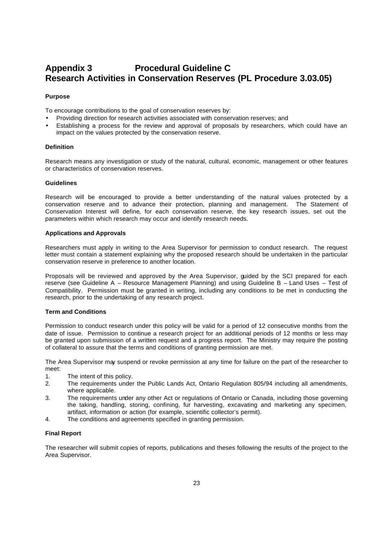## **Appendix 3 Procedural Guideline C Research Activities in Conservation Reserves (PL Procedure 3.03.05)**

#### **Purpose**

To encourage contributions to the goal of conservation reserves by:

- Providing direction for research activities associated with conservation reserves; and
- Establishing a process for the review and approval of proposals by researchers, which could have an impact on the values protected by the conservation reserve.

#### **Definition**

Research means any investigation or study of the natural, cultural, economic, management or other features or characteristics of conservation reserves.

#### **Guidelines**

Research will be encouraged to provide a better understanding of the natural values protected by a conservation reserve and to advance their protection, planning and management. The Statement of Conservation Interest will define, for each conservation reserve, the key research issues, set out the parameters within which research may occur and identify research needs.

#### **Applications and Approvals**

Researchers must apply in writing to the Area Supervisor for permission to conduct research. The request letter must contain a statement explaining why the proposed research should be undertaken in the particular conservation reserve in preference to another location.

Proposals will be reviewed and approved by the Area Supervisor, guided by the SCI prepared for each reserve (see Guideline A – Resource Management Planning) and using Guideline B – Land Uses – Test of Compatibility. Permission must be granted in writing, including any conditions to be met in conducting the research, prior to the undertaking of any research project.

#### **Term and Conditions**

Permission to conduct research under this policy will be valid for a period of 12 consecutive months from the date of issue. Permission to continue a research project for an additional periods of 12 months or less may be granted upon submission of a written request and a progress report. The Ministry may require the posting of collateral to assure that the terms and conditions of granting permission are met.

The Area Supervisor may suspend or revoke permission at any time for failure on the part of the researcher to meet:

- 1. The intent of this policy.
- 2. The requirements under the Public Lands Act, Ontario Regulation 805/94 including all amendments, where applicable.
- 3. The requirements under any other Act or regulations of Ontario or Canada, including those governing the taking, handling, storing, confining, fur harvesting, excavating and marketing any specimen, artifact, information or action (for example, scientific collector's permit).
- 4. The conditions and agreements specified in granting permission.

#### **Final Report**

The researcher will submit copies of reports, publications and theses following the results of the project to the Area Supervisor.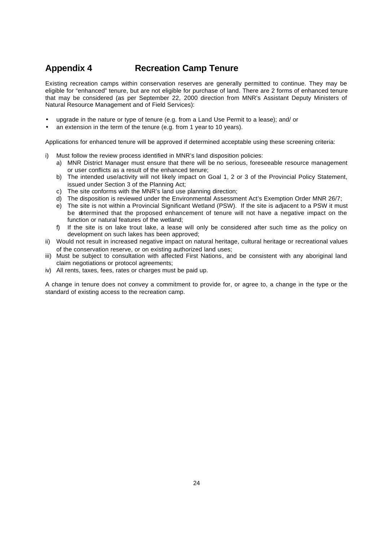# **Appendix 4 Recreation Camp Tenure**

Existing recreation camps within conservation reserves are generally permitted to continue. They may be eligible for "enhanced" tenure, but are not eligible for purchase of land. There are 2 forms of enhanced tenure that may be considered (as per September 22, 2000 direction from MNR's Assistant Deputy Ministers of Natural Resource Management and of Field Services):

- upgrade in the nature or type of tenure (e.g. from a Land Use Permit to a lease); and/ or
- an extension in the term of the tenure (e.g. from 1 year to 10 years).

Applications for enhanced tenure will be approved if determined acceptable using these screening criteria:

- i) Must follow the review process identified in MNR's land disposition policies:
	- a) MNR District Manager must ensure that there will be no serious, foreseeable resource management or user conflicts as a result of the enhanced tenure;
	- b) The intended use/activity will not likely impact on Goal 1, 2 or 3 of the Provincial Policy Statement, issued under Section 3 of the Planning Act;
	- c) The site conforms with the MNR's land use planning direction;
	- d) The disposition is reviewed under the Environmental Assessment Act's Exemption Order MNR 26/7;
	- e) The site is not within a Provincial Significant Wetland (PSW). If the site is adjacent to a PSW it must be determined that the proposed enhancement of tenure will not have a negative impact on the function or natural features of the wetland;
	- f) If the site is on lake trout lake, a lease will only be considered after such time as the policy on development on such lakes has been approved;
- ii) Would not result in increased negative impact on natural heritage, cultural heritage or recreational values of the conservation reserve, or on existing authorized land uses;
- iii) Must be subject to consultation with affected First Nations, and be consistent with any aboriginal land claim negotiations or protocol agreements;
- iv) All rents, taxes, fees, rates or charges must be paid up.

A change in tenure does not convey a commitment to provide for, or agree to, a change in the type or the standard of existing access to the recreation camp.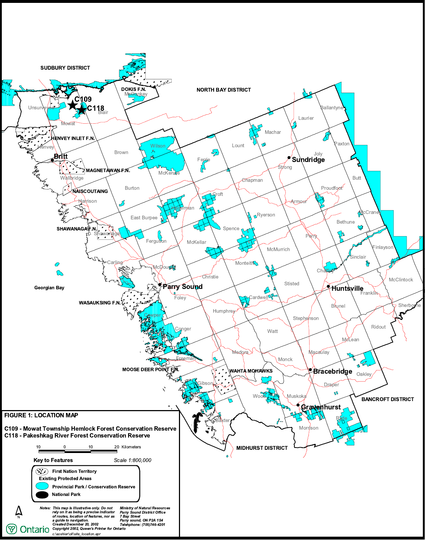